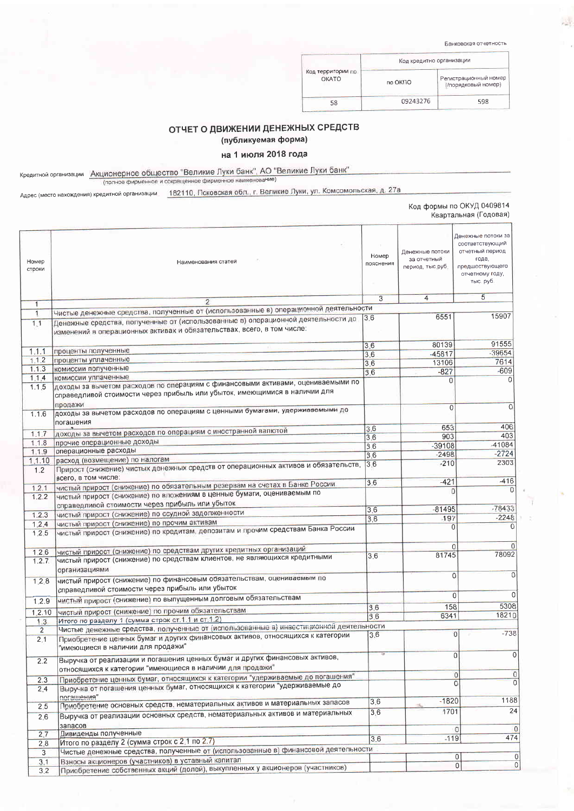Банковская отчетность

|                                   | Код кредитно организации |                                              |  |
|-----------------------------------|--------------------------|----------------------------------------------|--|
| Код территории по<br><b>OKATO</b> | no OKITO                 | Регистрационный номер<br>(/порядковый номер) |  |
| 58                                | 09243276                 | 598                                          |  |

## ОТЧЕТ О ДВИЖЕНИИ ДЕНЕЖНЫХ СРЕДСТВ

(публикуемая форма)

## на 1 июля 2018 года

Кредитной организации Акционерное общество "Великие Луки банк", АО "Великие Луки банк"<br>(полное фирменное и сокращенное фирменное и наименование)

Адрес (место нахождения) кредитной организации 182110, Псковская обл., г. Великие Луки, ул. Комсомольская, д. 27а

|                              |                                                                                                                                                                         |                    |                                                    | Код формы по ОКУД 0409814<br>Квартальная (Годовая)                                                                   |
|------------------------------|-------------------------------------------------------------------------------------------------------------------------------------------------------------------------|--------------------|----------------------------------------------------|----------------------------------------------------------------------------------------------------------------------|
| Номер<br>строки              | Наименования статей                                                                                                                                                     | Номер<br>пояснения | Денежные потоки<br>за отчетный<br>период, тыс руб. | Денежные потоки за<br>соответствующий<br>отчетный период<br>года,<br>предшествующего<br>отчетному году,<br>тыс. руб. |
|                              | $\overline{2}$                                                                                                                                                          | $\overline{3}$     | 4                                                  | 5                                                                                                                    |
| $\mathbf{1}$<br>$\mathbf{1}$ | Чистые денежные средства, полученные от (использованные в) операционной деятельности                                                                                    |                    |                                                    |                                                                                                                      |
| 1.1                          | Денежные средства, полученные от (использованные в) операционной деятельности до<br>изменений в операционных активах и обязательствах, всего, в том числе:              | 3.6                | 6551                                               | 15907                                                                                                                |
|                              |                                                                                                                                                                         | 3.6                | 80139                                              | 91555                                                                                                                |
| 1.1.1                        | проценты полученные                                                                                                                                                     | 3.6                | $-45817$                                           | $-39654$                                                                                                             |
| 1.1.2<br>1.1.3               | проценты уплаченные<br>комиссии полученные                                                                                                                              | 3.6                | 13106                                              | 7614                                                                                                                 |
|                              | комиссии уплаченные                                                                                                                                                     | 3.6                | $-827$                                             | $-609$                                                                                                               |
| 1.1.4<br>1.1.5               | доходы за вычетом расходов по операциям с финансовыми активами, оцениваемыми по<br>справедливой стоимости через прибыль или убыток, имеющимися в наличии для<br>продажи |                    | $\Omega$                                           | 0                                                                                                                    |
| 1.1.6                        | доходы за вычетом расходов по операциям с ценными бумагами, удерживаемыми до<br>погашения                                                                               |                    | 0                                                  | $\overline{0}$                                                                                                       |
|                              | доходы за вычетом расходов по операциям с иностранной валютой                                                                                                           | 3,6                | 653                                                | 406                                                                                                                  |
| 1.1.7                        | прочие операционные доходы                                                                                                                                              | 3.6                | 903                                                | 403                                                                                                                  |
| 1.1.8                        | операционные расходы                                                                                                                                                    | 3.6                | $-39108$                                           | -41084                                                                                                               |
| 1.1.9                        | расход (возмещение) по налогам                                                                                                                                          | 3.6                | $-2498$                                            | $-2724$                                                                                                              |
| 1,1.10<br>1.2                | Прирост (снижение) чистых денежных средств от операционных активов и обязательств,<br>всего, в том числе:                                                               | 3.6                | $-210$                                             | 2303                                                                                                                 |
|                              | чистый прирост (снижение) по обязательным резервам на счетах в Банке России                                                                                             | 3.6                | $-421$                                             | -416                                                                                                                 |
| 1.2.1<br>1.2.2               | чистый прирост (снижение) по вложениям в ценные бумаги, оцениваемым по<br>справедливой стоимости через прибыль или убыток                                               |                    | $\Omega$                                           | $\overline{0}$                                                                                                       |
|                              | чистый прирост (снижение) по ссудной задолженности                                                                                                                      | 3.6                | $-81495$                                           | $-78433$                                                                                                             |
| 1.2.3                        | чистый прирост (снижение) по прочим активам                                                                                                                             | 3.6                | $-197$                                             | $-2248$                                                                                                              |
| 1.2.4<br>1.2.5               | чистый прирост (снижение) по кредитам, депозитам и прочим средствам Банка России                                                                                        |                    |                                                    | 0<br>$\overline{0}$                                                                                                  |
| 1.2.6                        | чистый прирост (снижение) по средствам других кредитных организаций                                                                                                     |                    |                                                    | $\Omega$<br>$\Omega$                                                                                                 |
| 1.2.7                        | чистый прирост (снижение) по средствам клиентов, не являющихся кредитными<br>организациями                                                                              | 3.6                | 81745                                              | 78092                                                                                                                |
| 1.2.8                        | чистый прирост (снижение) по финансовым обязательствам, оцениваемым по<br>справедливой стоимости через прибыль или убыток                                               |                    |                                                    | $\mathbf{0}$<br>$\overline{0}$                                                                                       |
|                              | чистый прирост (снижение) по выпущенным долговым обязательствам                                                                                                         |                    |                                                    | $\Omega$<br>$\mathbf{0}$                                                                                             |
| 1.2.9                        |                                                                                                                                                                         | 3.6                | 158                                                | 5308                                                                                                                 |
| 1.2.10                       | чистый прирост (снижение) по прочим обязательствам                                                                                                                      | 3.6                | 6341                                               | 18210                                                                                                                |
| 1.3                          | Итого по разделу 1 (сумма строк ст.1.1 и ст.1.2)<br>Чистые денежные средства, полученные от (использованные в) инвестиционной деятельности                              |                    |                                                    |                                                                                                                      |
| $\overline{c}$<br>2.1        | Приобретение ценных бумаг и других финансовых активов, относящихся к категории<br>"имеющиеся в наличии для продажи"                                                     | 3.6                |                                                    | $-738$<br> 0                                                                                                         |
| 2.2                          | Выручка от реализации и погашения ценных бумаг и других финансовых активов,<br>относящихся к категории "имеющиеся в наличии для продажи"                                |                    |                                                    | 0 <br>$\overline{0}$                                                                                                 |
| 2.3                          | Приобретение ценных бумаг, относящихся к категории "удерживаемые до погашения"                                                                                          |                    |                                                    | $\mathsf{O}\xspace$<br>0                                                                                             |
| 2.4                          | Выручка от погашения ценных бумаг, относящихся к категории "удерживаемые до<br>погашения"                                                                               |                    |                                                    | $\mathbf 0$<br>$\overline{0}$                                                                                        |
| 2.5                          | Приобретение основных средств, нематериальных активов и материальных запасов                                                                                            | 3.6                | $-1820$                                            | 1188                                                                                                                 |
| 2.6                          | Выручка от реализации основных средств, нематериальных активов и материальных<br>запасов                                                                                | 3.6                | 1701                                               | 24                                                                                                                   |
| 2.7                          | Дивиденды полученные                                                                                                                                                    |                    |                                                    | $\overline{0}$<br>$\circ$                                                                                            |
| 2.8                          | Итого по разделу 2 (сумма строк с 2.1 по 2.7)                                                                                                                           | 3.6                | $-119$                                             | 474                                                                                                                  |
| 3                            | Чистые денежные средства, полученные от (использованные в) финансовой деятельности                                                                                      |                    |                                                    |                                                                                                                      |
| 3,1                          | Взносы акционеров (участников) в уставный капитал                                                                                                                       |                    |                                                    | 0<br> 0                                                                                                              |
| 3.2                          | Приобретение собственных акций (долей), выкупленных у акционеров (участников)                                                                                           |                    |                                                    | 0 <br>$\overline{0}$                                                                                                 |

## 遽